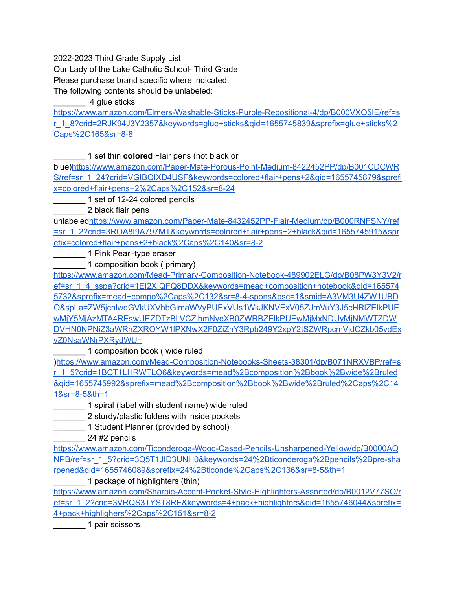2022-2023 Third Grade Supply List

Our Lady of the Lake Catholic School- Third Grade

Please purchase brand specific where indicated.

The following contents should be unlabeled:

\_\_\_\_\_\_\_ 4 glue sticks

[https://www.amazon.com/Elmers-Washable-Sticks-Purple-Repositional-4/dp/B000VXO5IE/ref=s](https://www.amazon.com/Elmers-Washable-Sticks-Purple-Repositional-4/dp/B000VXO5IE/ref=sr_1_8?crid=2RJK94J3Y2357&keywords=glue+sticks&qid=1655745839&sprefix=glue+sticks%2Caps%2C165&sr=8-8) [r\\_1\\_8?crid=2RJK94J3Y2357&keywords=glue+sticks&qid=1655745839&sprefix=glue+sticks%2](https://www.amazon.com/Elmers-Washable-Sticks-Purple-Repositional-4/dp/B000VXO5IE/ref=sr_1_8?crid=2RJK94J3Y2357&keywords=glue+sticks&qid=1655745839&sprefix=glue+sticks%2Caps%2C165&sr=8-8) [Caps%2C165&sr=8-8](https://www.amazon.com/Elmers-Washable-Sticks-Purple-Repositional-4/dp/B000VXO5IE/ref=sr_1_8?crid=2RJK94J3Y2357&keywords=glue+sticks&qid=1655745839&sprefix=glue+sticks%2Caps%2C165&sr=8-8)

\_\_\_\_\_\_\_ 1 set thin **colored** Flair pens (not black or

blue[\)https://www.amazon.com/Paper-Mate-Porous-Point-Medium-8422452PP/dp/B001CDCWR](https://www.amazon.com/Paper-Mate-Porous-Point-Medium-8422452PP/dp/B001CDCWRS/ref=sr_1_24?crid=VGIBQIXD4USF&keywords=colored+flair+pens+2&qid=1655745879&sprefix=colored+flair+pens+2%2Caps%2C152&sr=8-24) [S/ref=sr\\_1\\_24?crid=VGIBQIXD4USF&keywords=colored+flair+pens+2&qid=1655745879&sprefi](https://www.amazon.com/Paper-Mate-Porous-Point-Medium-8422452PP/dp/B001CDCWRS/ref=sr_1_24?crid=VGIBQIXD4USF&keywords=colored+flair+pens+2&qid=1655745879&sprefix=colored+flair+pens+2%2Caps%2C152&sr=8-24) [x=colored+flair+pens+2%2Caps%2C152&sr=8-24](https://www.amazon.com/Paper-Mate-Porous-Point-Medium-8422452PP/dp/B001CDCWRS/ref=sr_1_24?crid=VGIBQIXD4USF&keywords=colored+flair+pens+2&qid=1655745879&sprefix=colored+flair+pens+2%2Caps%2C152&sr=8-24)

\_\_\_\_\_\_\_ 1 set of 12-24 colored pencils

\_\_\_\_\_\_\_ 2 black flair pens

unlabeled[https://www.amazon.com/Paper-Mate-8432452PP-Flair-Medium/dp/B000RNFSNY/ref](https://www.amazon.com/Paper-Mate-8432452PP-Flair-Medium/dp/B000RNFSNY/ref=sr_1_2?crid=3ROA8I9A797MT&keywords=colored+flair+pens+2+black&qid=1655745915&sprefix=colored+flair+pens+2+black%2Caps%2C140&sr=8-2) [=sr\\_1\\_2?crid=3ROA8I9A797MT&keywords=colored+flair+pens+2+black&qid=1655745915&spr](https://www.amazon.com/Paper-Mate-8432452PP-Flair-Medium/dp/B000RNFSNY/ref=sr_1_2?crid=3ROA8I9A797MT&keywords=colored+flair+pens+2+black&qid=1655745915&sprefix=colored+flair+pens+2+black%2Caps%2C140&sr=8-2) [efix=colored+flair+pens+2+black%2Caps%2C140&sr=8-2](https://www.amazon.com/Paper-Mate-8432452PP-Flair-Medium/dp/B000RNFSNY/ref=sr_1_2?crid=3ROA8I9A797MT&keywords=colored+flair+pens+2+black&qid=1655745915&sprefix=colored+flair+pens+2+black%2Caps%2C140&sr=8-2)

1 Pink Pearl-type eraser

1 composition book ( primary)

[https://www.amazon.com/Mead-Primary-Composition-Notebook-489902ELG/dp/B08PW3Y3V2/r](https://www.amazon.com/Mead-Primary-Composition-Notebook-489902ELG/dp/B08PW3Y3V2/ref=sr_1_4_sspa?crid=1EI2XIQFQ8DDX&keywords=mead+composition+notebook&qid=1655745732&sprefix=mead+compo%2Caps%2C132&sr=8-4-spons&psc=1&smid=A3VM3U4ZW1UBDO&spLa=ZW5jcnlwdGVkUXVhbGlmaWVyPUExVUs1WkJKNVExV05ZJmVuY3J5cHRlZElkPUEwMjY5MjAzMTA4REswUEZDTzBLVCZlbmNyeXB0ZWRBZElkPUEwMjMxNDUyMjNMWTZDWDVHN0NPNiZ3aWRnZXROYW1lPXNwX2F0ZiZhY3Rpb249Y2xpY2tSZWRpcmVjdCZkb05vdExvZ0NsaWNrPXRydWU=) [ef=sr\\_1\\_4\\_sspa?crid=1EI2XIQFQ8DDX&keywords=mead+composition+notebook&qid=165574](https://www.amazon.com/Mead-Primary-Composition-Notebook-489902ELG/dp/B08PW3Y3V2/ref=sr_1_4_sspa?crid=1EI2XIQFQ8DDX&keywords=mead+composition+notebook&qid=1655745732&sprefix=mead+compo%2Caps%2C132&sr=8-4-spons&psc=1&smid=A3VM3U4ZW1UBDO&spLa=ZW5jcnlwdGVkUXVhbGlmaWVyPUExVUs1WkJKNVExV05ZJmVuY3J5cHRlZElkPUEwMjY5MjAzMTA4REswUEZDTzBLVCZlbmNyeXB0ZWRBZElkPUEwMjMxNDUyMjNMWTZDWDVHN0NPNiZ3aWRnZXROYW1lPXNwX2F0ZiZhY3Rpb249Y2xpY2tSZWRpcmVjdCZkb05vdExvZ0NsaWNrPXRydWU=) [5732&sprefix=mead+compo%2Caps%2C132&sr=8-4-spons&psc=1&smid=A3VM3U4ZW1UBD](https://www.amazon.com/Mead-Primary-Composition-Notebook-489902ELG/dp/B08PW3Y3V2/ref=sr_1_4_sspa?crid=1EI2XIQFQ8DDX&keywords=mead+composition+notebook&qid=1655745732&sprefix=mead+compo%2Caps%2C132&sr=8-4-spons&psc=1&smid=A3VM3U4ZW1UBDO&spLa=ZW5jcnlwdGVkUXVhbGlmaWVyPUExVUs1WkJKNVExV05ZJmVuY3J5cHRlZElkPUEwMjY5MjAzMTA4REswUEZDTzBLVCZlbmNyeXB0ZWRBZElkPUEwMjMxNDUyMjNMWTZDWDVHN0NPNiZ3aWRnZXROYW1lPXNwX2F0ZiZhY3Rpb249Y2xpY2tSZWRpcmVjdCZkb05vdExvZ0NsaWNrPXRydWU=) [O&spLa=ZW5jcnlwdGVkUXVhbGlmaWVyPUExVUs1WkJKNVExV05ZJmVuY3J5cHRlZElkPUE](https://www.amazon.com/Mead-Primary-Composition-Notebook-489902ELG/dp/B08PW3Y3V2/ref=sr_1_4_sspa?crid=1EI2XIQFQ8DDX&keywords=mead+composition+notebook&qid=1655745732&sprefix=mead+compo%2Caps%2C132&sr=8-4-spons&psc=1&smid=A3VM3U4ZW1UBDO&spLa=ZW5jcnlwdGVkUXVhbGlmaWVyPUExVUs1WkJKNVExV05ZJmVuY3J5cHRlZElkPUEwMjY5MjAzMTA4REswUEZDTzBLVCZlbmNyeXB0ZWRBZElkPUEwMjMxNDUyMjNMWTZDWDVHN0NPNiZ3aWRnZXROYW1lPXNwX2F0ZiZhY3Rpb249Y2xpY2tSZWRpcmVjdCZkb05vdExvZ0NsaWNrPXRydWU=) [wMjY5MjAzMTA4REswUEZDTzBLVCZlbmNyeXB0ZWRBZElkPUEwMjMxNDUyMjNMWTZDW](https://www.amazon.com/Mead-Primary-Composition-Notebook-489902ELG/dp/B08PW3Y3V2/ref=sr_1_4_sspa?crid=1EI2XIQFQ8DDX&keywords=mead+composition+notebook&qid=1655745732&sprefix=mead+compo%2Caps%2C132&sr=8-4-spons&psc=1&smid=A3VM3U4ZW1UBDO&spLa=ZW5jcnlwdGVkUXVhbGlmaWVyPUExVUs1WkJKNVExV05ZJmVuY3J5cHRlZElkPUEwMjY5MjAzMTA4REswUEZDTzBLVCZlbmNyeXB0ZWRBZElkPUEwMjMxNDUyMjNMWTZDWDVHN0NPNiZ3aWRnZXROYW1lPXNwX2F0ZiZhY3Rpb249Y2xpY2tSZWRpcmVjdCZkb05vdExvZ0NsaWNrPXRydWU=) [DVHN0NPNiZ3aWRnZXROYW1lPXNwX2F0ZiZhY3Rpb249Y2xpY2tSZWRpcmVjdCZkb05vdEx](https://www.amazon.com/Mead-Primary-Composition-Notebook-489902ELG/dp/B08PW3Y3V2/ref=sr_1_4_sspa?crid=1EI2XIQFQ8DDX&keywords=mead+composition+notebook&qid=1655745732&sprefix=mead+compo%2Caps%2C132&sr=8-4-spons&psc=1&smid=A3VM3U4ZW1UBDO&spLa=ZW5jcnlwdGVkUXVhbGlmaWVyPUExVUs1WkJKNVExV05ZJmVuY3J5cHRlZElkPUEwMjY5MjAzMTA4REswUEZDTzBLVCZlbmNyeXB0ZWRBZElkPUEwMjMxNDUyMjNMWTZDWDVHN0NPNiZ3aWRnZXROYW1lPXNwX2F0ZiZhY3Rpb249Y2xpY2tSZWRpcmVjdCZkb05vdExvZ0NsaWNrPXRydWU=) [vZ0NsaWNrPXRydWU=](https://www.amazon.com/Mead-Primary-Composition-Notebook-489902ELG/dp/B08PW3Y3V2/ref=sr_1_4_sspa?crid=1EI2XIQFQ8DDX&keywords=mead+composition+notebook&qid=1655745732&sprefix=mead+compo%2Caps%2C132&sr=8-4-spons&psc=1&smid=A3VM3U4ZW1UBDO&spLa=ZW5jcnlwdGVkUXVhbGlmaWVyPUExVUs1WkJKNVExV05ZJmVuY3J5cHRlZElkPUEwMjY5MjAzMTA4REswUEZDTzBLVCZlbmNyeXB0ZWRBZElkPUEwMjMxNDUyMjNMWTZDWDVHN0NPNiZ3aWRnZXROYW1lPXNwX2F0ZiZhY3Rpb249Y2xpY2tSZWRpcmVjdCZkb05vdExvZ0NsaWNrPXRydWU=)

\_ 1 composition book ( wide ruled

)[https://www.amazon.com/Mead-Composition-Notebooks-Sheets-38301/dp/B071NRXVBP/ref=s](https://www.amazon.com/Mead-Composition-Notebooks-Sheets-38301/dp/B071NRXVBP/ref=sr_1_5?crid=1BCT1LHRWTLO6&keywords=mead%2Bcomposition%2Bbook%2Bwide%2Bruled&qid=1655745992&sprefix=mead%2Bcomposition%2Bbook%2Bwide%2Bruled%2Caps%2C141&sr=8-5&th=1) [r\\_1\\_5?crid=1BCT1LHRWTLO6&keywords=mead%2Bcomposition%2Bbook%2Bwide%2Bruled](https://www.amazon.com/Mead-Composition-Notebooks-Sheets-38301/dp/B071NRXVBP/ref=sr_1_5?crid=1BCT1LHRWTLO6&keywords=mead%2Bcomposition%2Bbook%2Bwide%2Bruled&qid=1655745992&sprefix=mead%2Bcomposition%2Bbook%2Bwide%2Bruled%2Caps%2C141&sr=8-5&th=1) [&qid=1655745992&sprefix=mead%2Bcomposition%2Bbook%2Bwide%2Bruled%2Caps%2C14](https://www.amazon.com/Mead-Composition-Notebooks-Sheets-38301/dp/B071NRXVBP/ref=sr_1_5?crid=1BCT1LHRWTLO6&keywords=mead%2Bcomposition%2Bbook%2Bwide%2Bruled&qid=1655745992&sprefix=mead%2Bcomposition%2Bbook%2Bwide%2Bruled%2Caps%2C141&sr=8-5&th=1) [1&sr=8-5&th=1](https://www.amazon.com/Mead-Composition-Notebooks-Sheets-38301/dp/B071NRXVBP/ref=sr_1_5?crid=1BCT1LHRWTLO6&keywords=mead%2Bcomposition%2Bbook%2Bwide%2Bruled&qid=1655745992&sprefix=mead%2Bcomposition%2Bbook%2Bwide%2Bruled%2Caps%2C141&sr=8-5&th=1)

\_\_\_\_\_\_\_ 1 spiral (label with student name) wide ruled

\_\_\_\_\_\_\_ 2 sturdy/plastic folders with inside pockets

1 Student Planner (provided by school)

\_\_\_\_\_\_\_ 24 #2 pencils

[https://www.amazon.com/Ticonderoga-Wood-Cased-Pencils-Unsharpened-Yellow/dp/B0000AQ](https://www.amazon.com/Ticonderoga-Wood-Cased-Pencils-Unsharpened-Yellow/dp/B0000AQNPB/ref=sr_1_5?crid=3Q5T1JID3UNH0&keywords=24%2Bticonderoga%2Bpencils%2Bpre-sharpened&qid=1655746089&sprefix=24%2Bticonde%2Caps%2C136&sr=8-5&th=1) [NPB/ref=sr\\_1\\_5?crid=3Q5T1JID3UNH0&keywords=24%2Bticonderoga%2Bpencils%2Bpre-sha](https://www.amazon.com/Ticonderoga-Wood-Cased-Pencils-Unsharpened-Yellow/dp/B0000AQNPB/ref=sr_1_5?crid=3Q5T1JID3UNH0&keywords=24%2Bticonderoga%2Bpencils%2Bpre-sharpened&qid=1655746089&sprefix=24%2Bticonde%2Caps%2C136&sr=8-5&th=1) [rpened&qid=1655746089&sprefix=24%2Bticonde%2Caps%2C136&sr=8-5&th=1](https://www.amazon.com/Ticonderoga-Wood-Cased-Pencils-Unsharpened-Yellow/dp/B0000AQNPB/ref=sr_1_5?crid=3Q5T1JID3UNH0&keywords=24%2Bticonderoga%2Bpencils%2Bpre-sharpened&qid=1655746089&sprefix=24%2Bticonde%2Caps%2C136&sr=8-5&th=1)

1 package of highlighters (thin)

[https://www.amazon.com/Sharpie-Accent-Pocket-Style-Highlighters-Assorted/dp/B0012V77SO/r](https://www.amazon.com/Sharpie-Accent-Pocket-Style-Highlighters-Assorted/dp/B0012V77SO/ref=sr_1_2?crid=3VRQS3TYST8RE&keywords=4+pack+highlighters&qid=1655746044&sprefix=4+pack+highlighers%2Caps%2C151&sr=8-2) ef=sr\_1\_2?crid=3VRQS3TYST8RE&keywords=4+pack+highlighters&gid=1655746044&sprefix= [4+pack+highlighers%2Caps%2C151&sr=8-2](https://www.amazon.com/Sharpie-Accent-Pocket-Style-Highlighters-Assorted/dp/B0012V77SO/ref=sr_1_2?crid=3VRQS3TYST8RE&keywords=4+pack+highlighters&qid=1655746044&sprefix=4+pack+highlighers%2Caps%2C151&sr=8-2)

1 pair scissors